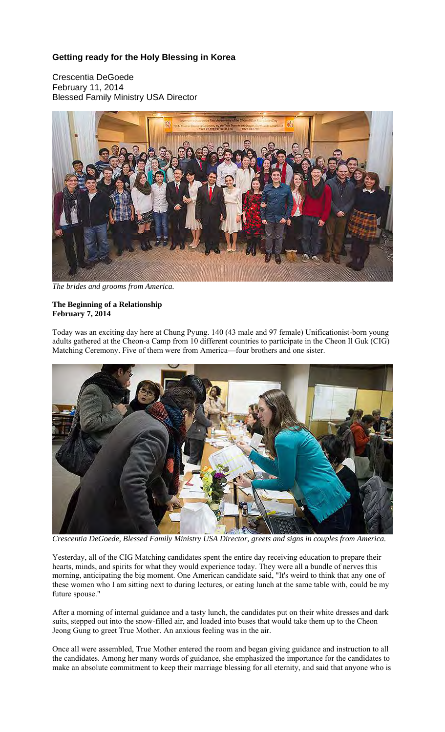## **Getting ready for the Holy Blessing in Korea**

Crescentia DeGoede February 11, 2014 Blessed Family Ministry USA Director



*The brides and grooms from America.* 

## **The Beginning of a Relationship February 7, 2014**

Today was an exciting day here at Chung Pyung. 140 (43 male and 97 female) Unificationist-born young adults gathered at the Cheon-a Camp from 10 different countries to participate in the Cheon Il Guk (CIG) Matching Ceremony. Five of them were from America—four brothers and one sister.



*Crescentia DeGoede, Blessed Family Ministry USA Director, greets and signs in couples from America.* 

Yesterday, all of the CIG Matching candidates spent the entire day receiving education to prepare their hearts, minds, and spirits for what they would experience today. They were all a bundle of nerves this morning, anticipating the big moment. One American candidate said, "It's weird to think that any one of these women who I am sitting next to during lectures, or eating lunch at the same table with, could be my future spouse."

After a morning of internal guidance and a tasty lunch, the candidates put on their white dresses and dark suits, stepped out into the snow-filled air, and loaded into buses that would take them up to the Cheon Jeong Gung to greet True Mother. An anxious feeling was in the air.

Once all were assembled, True Mother entered the room and began giving guidance and instruction to all the candidates. Among her many words of guidance, she emphasized the importance for the candidates to make an absolute commitment to keep their marriage blessing for all eternity, and said that anyone who is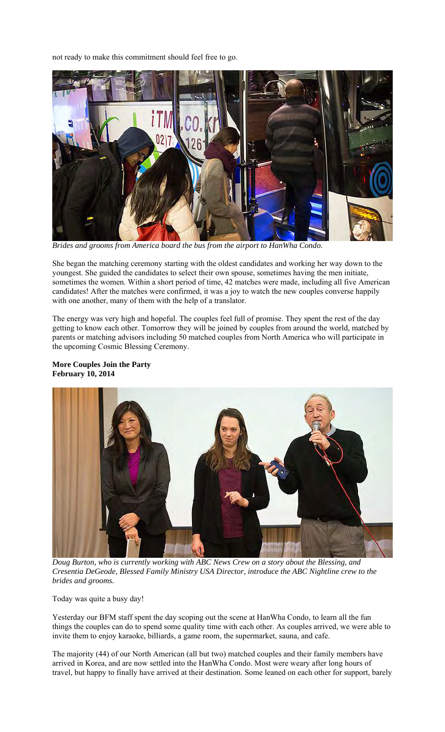not ready to make this commitment should feel free to go.



*Brides and grooms from America board the bus from the airport to HanWha Condo.*

She began the matching ceremony starting with the oldest candidates and working her way down to the youngest. She guided the candidates to select their own spouse, sometimes having the men initiate, sometimes the women. Within a short period of time, 42 matches were made, including all five American candidates! After the matches were confirmed, it was a joy to watch the new couples converse happily with one another, many of them with the help of a translator.

The energy was very high and hopeful. The couples feel full of promise. They spent the rest of the day getting to know each other. Tomorrow they will be joined by couples from around the world, matched by parents or matching advisors including 50 matched couples from North America who will participate in the upcoming Cosmic Blessing Ceremony.



**More Couples Join the Party February 10, 2014** 

*Doug Burton, who is currently working with ABC News Crew on a story about the Blessing, and Cresentia DeGeode, Blessed Family Ministry USA Director, introduce the ABC Nightline crew to the brides and grooms.* 

Today was quite a busy day!

Yesterday our BFM staff spent the day scoping out the scene at HanWha Condo, to learn all the fun things the couples can do to spend some quality time with each other. As couples arrived, we were able to invite them to enjoy karaoke, billiards, a game room, the supermarket, sauna, and cafe.

The majority (44) of our North American (all but two) matched couples and their family members have arrived in Korea, and are now settled into the HanWha Condo. Most were weary after long hours of travel, but happy to finally have arrived at their destination. Some leaned on each other for support, barely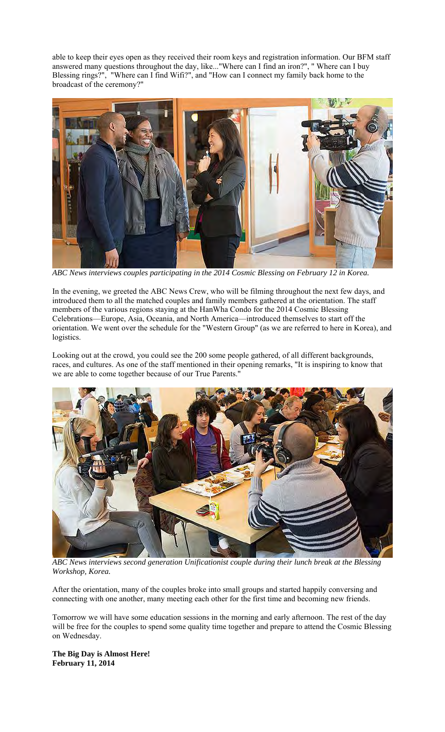able to keep their eyes open as they received their room keys and registration information. Our BFM staff answered many questions throughout the day, like..."Where can I find an iron?", " Where can I buy Blessing rings?", "Where can I find Wifi?", and "How can I connect my family back home to the broadcast of the ceremony?"



*ABC News interviews couples participating in the 2014 Cosmic Blessing on February 12 in Korea.* 

In the evening, we greeted the ABC News Crew, who will be filming throughout the next few days, and introduced them to all the matched couples and family members gathered at the orientation. The staff members of the various regions staying at the HanWha Condo for the 2014 Cosmic Blessing Celebrations—Europe, Asia, Oceania, and North America—introduced themselves to start off the orientation. We went over the schedule for the "Western Group" (as we are referred to here in Korea), and logistics.

Looking out at the crowd, you could see the 200 some people gathered, of all different backgrounds, races, and cultures. As one of the staff mentioned in their opening remarks, "It is inspiring to know that we are able to come together because of our True Parents."



*ABC News interviews second generation Unificationist couple during their lunch break at the Blessing Workshop, Korea.* 

After the orientation, many of the couples broke into small groups and started happily conversing and connecting with one another, many meeting each other for the first time and becoming new friends.

Tomorrow we will have some education sessions in the morning and early afternoon. The rest of the day will be free for the couples to spend some quality time together and prepare to attend the Cosmic Blessing on Wednesday.

**The Big Day is Almost Here! February 11, 2014**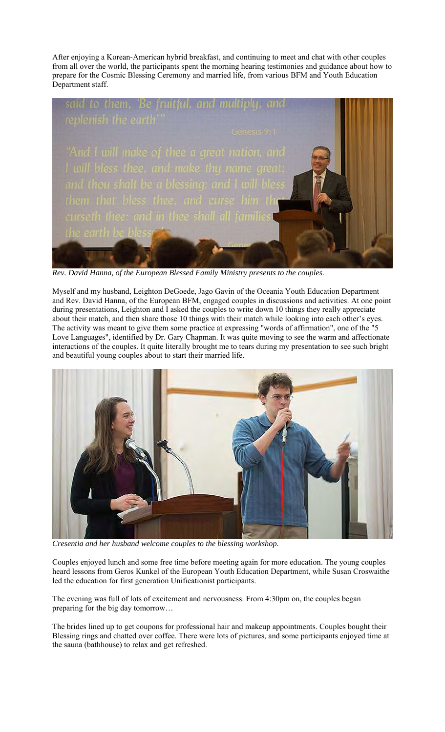After enjoying a Korean-American hybrid breakfast, and continuing to meet and chat with other couples from all over the world, the participants spent the morning hearing testimonies and guidance about how to prepare for the Cosmic Blessing Ceremony and married life, from various BFM and Youth Education Department staff.



*Rev. David Hanna, of the European Blessed Family Ministry presents to the couples.* 

Myself and my husband, Leighton DeGoede, Jago Gavin of the Oceania Youth Education Department and Rev. David Hanna, of the European BFM, engaged couples in discussions and activities. At one point during presentations, Leighton and I asked the couples to write down 10 things they really appreciate about their match, and then share those 10 things with their match while looking into each other's eyes. The activity was meant to give them some practice at expressing "words of affirmation", one of the "5 Love Languages", identified by Dr. Gary Chapman. It was quite moving to see the warm and affectionate interactions of the couples. It quite literally brought me to tears during my presentation to see such bright and beautiful young couples about to start their married life.



*Cresentia and her husband welcome couples to the blessing workshop.* 

Couples enjoyed lunch and some free time before meeting again for more education. The young couples heard lessons from Geros Kunkel of the European Youth Education Department, while Susan Croswaithe led the education for first generation Unificationist participants.

The evening was full of lots of excitement and nervousness. From 4:30pm on, the couples began preparing for the big day tomorrow…

The brides lined up to get coupons for professional hair and makeup appointments. Couples bought their Blessing rings and chatted over coffee. There were lots of pictures, and some participants enjoyed time at the sauna (bathhouse) to relax and get refreshed.